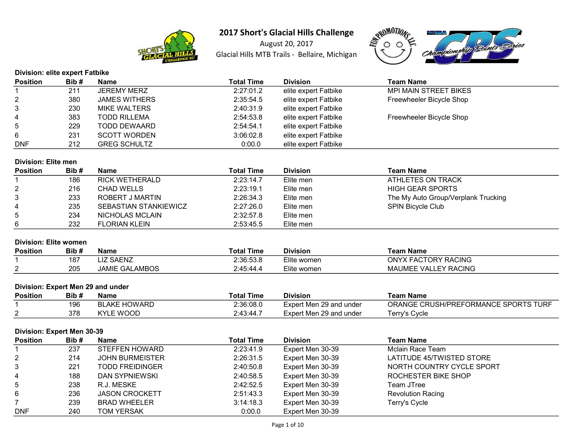

August 20, 2017 Glacial Hills MTB Trails - Bellaire, Michigan



| <b>Division: elite expert Fatbike</b> |      |                      |                   |                      |                              |  |
|---------------------------------------|------|----------------------|-------------------|----------------------|------------------------------|--|
| <b>Position</b>                       | Bib# | Name                 | <b>Total Time</b> | <b>Division</b>      | <b>Team Name</b>             |  |
|                                       | 211  | JEREMY MERZ          | 2:27:01.2         | elite expert Fatbike | <b>MPI MAIN STREET BIKES</b> |  |
| $\overline{2}$                        | 380  | <b>JAMES WITHERS</b> | 2:35:54.5         | elite expert Fatbike | Freewheeler Bicycle Shop     |  |
| 3                                     | 230  | MIKE WALTERS         | 2:40:31.9         | elite expert Fatbike |                              |  |
| $\overline{4}$                        | 383  | <b>TODD RILLEMA</b>  | 2:54:53.8         | elite expert Fatbike | Freewheeler Bicycle Shop     |  |
| 5                                     | 229  | TODD DEWAARD         | 2:54:54.1         | elite expert Fatbike |                              |  |
| 6                                     | 231  | <b>SCOTT WORDEN</b>  | 3:06:02.8         | elite expert Fatbike |                              |  |
| <b>DNF</b>                            | 212  | <b>GREG SCHULTZ</b>  | 0:00.0            | elite expert Fatbike |                              |  |

### Division: Elite men

| <b>Position</b> | Bib# | <b>Name</b>                  | <b>Total Time</b> | <b>Division</b> | Team Name                           |
|-----------------|------|------------------------------|-------------------|-----------------|-------------------------------------|
|                 | 186  | RICK WETHERALD               | 2:23:14.7         | Elite men       | ATHLETES ON TRACK                   |
| 2               | 216  | <b>CHAD WELLS</b>            | 2:23:19.1         | Elite men       | <b>HIGH GEAR SPORTS</b>             |
| 3               | 233  | ROBERT J MARTIN              | 2:26:34.3         | Elite men       | The My Auto Group/Verplank Trucking |
| 4               | 235  | <b>SEBASTIAN STANKIEWICZ</b> | 2:27:26.0         | Elite men       | <b>SPIN Bicycle Club</b>            |
| 5               | 234  | NICHOLAS MCLAIN              | 2:32:57.8         | Elite men       |                                     |
| 6               | 232  | <b>FLORIAN KLEIN</b>         | 2:53:45.5         | Elite men       |                                     |

## Division: Elite women

| <b>Position</b> | Bib # | Name                  | Total Time | <b>Division</b>  | Team Name                             |
|-----------------|-------|-----------------------|------------|------------------|---------------------------------------|
|                 | 187   | <b>SAENZ</b>          | 2:36:53.8  | -<br>Elite women | <b><i>FACTORY RACING</i></b><br>NYX F |
| <u>_</u>        | 205   | <b>JAMIE GALAMBOS</b> | 2.45:44.4  | Elite women      | MAUMEE VALLEY RACING                  |

### Division: Expert Men 29 and under

| <b>Position</b> | Bib# | Name                | Total Time | Division                | Team Name                            |
|-----------------|------|---------------------|------------|-------------------------|--------------------------------------|
|                 | 196  | <b>BLAKE HOWARD</b> | 2:36:08.0  | Expert Men 29 and under | ORANGE CRUSH/PREFORMANCE SPORTS TURF |
|                 | 378  | <b>KYLE WOOD</b>    | 2:43:44.7  | Expert Men 29 and under | Гerry's Cycle                        |

### Division: Expert Men 30-39

| <b>Position</b> | Bib# | <b>Name</b>            | <b>Total Time</b> | <b>Division</b>  | <b>Team Name</b>          |
|-----------------|------|------------------------|-------------------|------------------|---------------------------|
|                 | 237  | <b>STEFFEN HOWARD</b>  | 2:23:41.9         | Expert Men 30-39 | Mclain Race Team          |
| $\overline{2}$  | 214  | <b>JOHN BURMEISTER</b> | 2:26:31.5         | Expert Men 30-39 | LATITUDE 45/TWISTED STORE |
| 3               | 221  | <b>TODD FREIDINGER</b> | 2:40:50.8         | Expert Men 30-39 | NORTH COUNTRY CYCLE SPORT |
| 4               | 188  | DAN SYPNIEWSKI         | 2:40:58.5         | Expert Men 30-39 | ROCHESTER BIKE SHOP       |
| 5               | 238  | R.J. MESKE             | 2:42:52.5         | Expert Men 30-39 | Team JTree                |
| 6               | 236  | <b>JASON CROCKETT</b>  | 2:51:43.3         | Expert Men 30-39 | <b>Revolution Racing</b>  |
|                 | 239  | <b>BRAD WHEELER</b>    | 3:14:18.3         | Expert Men 30-39 | Terry's Cycle             |
| <b>DNF</b>      | 240  | <b>TOM YERSAK</b>      | 0:00.0            | Expert Men 30-39 |                           |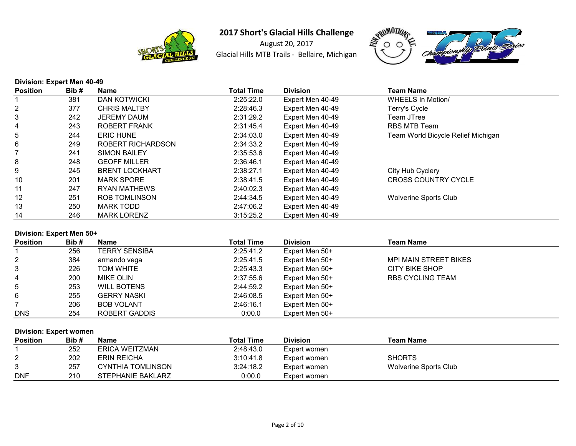

August 20, 2017 Glacial Hills MTB Trails - Bellaire, Michigan



### Division: Expert Men 40-49

| <b>Position</b> | Bib# | <b>Name</b>           | <b>Total Time</b> | <b>Division</b>  | Team Name                          |
|-----------------|------|-----------------------|-------------------|------------------|------------------------------------|
|                 | 381  | <b>DAN KOTWICKI</b>   | 2:25:22.0         | Expert Men 40-49 | WHEELS In Motion/                  |
| 2               | 377  | <b>CHRIS MALTBY</b>   | 2:28:46.3         | Expert Men 40-49 | Terry's Cycle                      |
| 3               | 242  | <b>JEREMY DAUM</b>    | 2:31:29.2         | Expert Men 40-49 | Team JTree                         |
| 4               | 243  | ROBERT FRANK          | 2:31:45.4         | Expert Men 40-49 | RBS MTB Team                       |
| 5               | 244  | <b>ERIC HUNE</b>      | 2:34:03.0         | Expert Men 40-49 | Team World Bicycle Relief Michigan |
| 6               | 249  | ROBERT RICHARDSON     | 2:34:33.2         | Expert Men 40-49 |                                    |
|                 | 241  | <b>SIMON BAILEY</b>   | 2:35:53.6         | Expert Men 40-49 |                                    |
| 8               | 248  | <b>GEOFF MILLER</b>   | 2:36:46.1         | Expert Men 40-49 |                                    |
| 9               | 245  | <b>BRENT LOCKHART</b> | 2:38:27.1         | Expert Men 40-49 | City Hub Cyclery                   |
| 10              | 201  | <b>MARK SPORE</b>     | 2:38:41.5         | Expert Men 40-49 | <b>CROSS COUNTRY CYCLE</b>         |
| 11              | 247  | RYAN MATHEWS          | 2:40:02.3         | Expert Men 40-49 |                                    |
| 12              | 251  | <b>ROB TOMLINSON</b>  | 2:44:34.5         | Expert Men 40-49 | <b>Wolverine Sports Club</b>       |
| 13              | 250  | MARK TODD             | 2:47:06.2         | Expert Men 40-49 |                                    |
| 14              | 246  | <b>MARK LORENZ</b>    | 3:15:25.2         | Expert Men 40-49 |                                    |

### Division: Expert Men 50+

| <b>Position</b> | Bib# | <b>Name</b>          | <b>Total Time</b> | <b>Division</b> | Team Name                    |
|-----------------|------|----------------------|-------------------|-----------------|------------------------------|
|                 | 256  | <b>TERRY SENSIBA</b> | 2:25:41.2         | Expert Men 50+  |                              |
| $\overline{2}$  | 384  | armando vega         | 2:25:41.5         | Expert Men 50+  | <b>MPI MAIN STREET BIKES</b> |
| 3               | 226  | TOM WHITE            | 2:25:43.3         | Expert Men 50+  | <b>CITY BIKE SHOP</b>        |
| 4               | 200  | MIKE OLIN            | 2:37:55.6         | Expert Men 50+  | <b>RBS CYCLING TEAM</b>      |
| $5^{\circ}$     | 253  | <b>WILL BOTENS</b>   | 2:44:59.2         | Expert Men 50+  |                              |
| 6               | 255  | <b>GERRY NASKI</b>   | 2:46:08.5         | Expert Men 50+  |                              |
|                 | 206  | <b>BOB VOLANT</b>    | 2:46:16.1         | Expert Men 50+  |                              |
| <b>DNS</b>      | 254  | ROBERT GADDIS        | 0:00.0            | Expert Men 50+  |                              |

### Division: Expert women

| <b>Position</b> | Bib# | Name              | <b>Total Time</b> | <b>Division</b> | Team Name             |
|-----------------|------|-------------------|-------------------|-----------------|-----------------------|
|                 | 252  | ERICA WEITZMAN    | 2:48:43.0         | Expert women    |                       |
| ∠               | 202  | ERIN REICHA       | 3:10:41.8         | Expert women    | <b>SHORTS</b>         |
|                 | 257  | CYNTHIA TOMLINSON | 3:24:18.2         | Expert women    | Wolverine Sports Club |
| <b>DNF</b>      | 210  | STEPHANIE BAKLARZ | 0:00.0            | Expert women    |                       |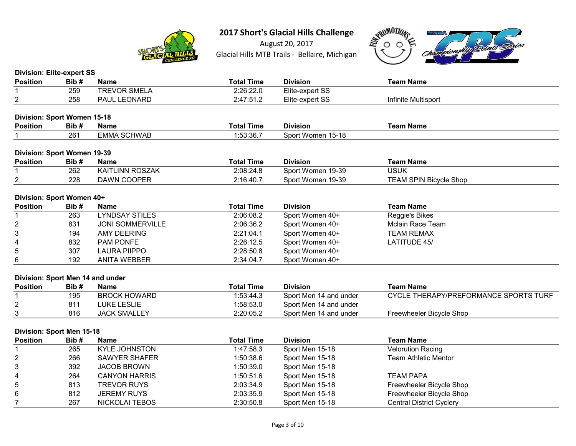

August 20, 2017 Glacial Hills MTB Trails - Bellaire, Michigan



| <b>Division: Elite-expert SS</b> |      |                         |                   |                        |                                       |
|----------------------------------|------|-------------------------|-------------------|------------------------|---------------------------------------|
| <b>Position</b>                  | Bib# | <b>Name</b>             | <b>Total Time</b> | <b>Division</b>        | <b>Team Name</b>                      |
| 1                                | 259  | <b>TREVOR SMELA</b>     | 2:26:22.0         | Elite-expert SS        |                                       |
| 2                                | 258  | PAUL LEONARD            | 2:47:51.2         | Elite-expert SS        | Infinite Multisport                   |
|                                  |      |                         |                   |                        |                                       |
| Division: Sport Women 15-18      |      |                         |                   |                        |                                       |
| <b>Position</b>                  | Bib# | <b>Name</b>             | <b>Total Time</b> | <b>Division</b>        | <b>Team Name</b>                      |
| 1                                | 261  | <b>EMMA SCHWAB</b>      | 1:53:36.7         | Sport Women 15-18      |                                       |
|                                  |      |                         |                   |                        |                                       |
| Division: Sport Women 19-39      |      |                         |                   |                        |                                       |
| <b>Position</b>                  | Bib# | <b>Name</b>             | <b>Total Time</b> | <b>Division</b>        | <b>Team Name</b>                      |
| 1                                | 262  | <b>KAITLINN ROSZAK</b>  | 2:08:24.8         | Sport Women 19-39      | <b>USUK</b>                           |
| 2                                | 228  | <b>DAWN COOPER</b>      | 2:16:40.7         | Sport Women 19-39      | <b>TEAM SPIN Bicycle Shop</b>         |
| Division: Sport Women 40+        |      |                         |                   |                        |                                       |
| <b>Position</b>                  | Bib# | <b>Name</b>             | <b>Total Time</b> | <b>Division</b>        | <b>Team Name</b>                      |
| 1                                | 263  | <b>LYNDSAY STILES</b>   | 2:06:08.2         | Sport Women 40+        | Reggie's Bikes                        |
| $\overline{\mathbf{c}}$          | 831  | <b>JONI SOMMERVILLE</b> | 2:06:36.2         | Sport Women 40+        | <b>Mclain Race Team</b>               |
| 3                                | 194  | <b>AMY DEERING</b>      | 2:21:04.1         | Sport Women 40+        | <b>TEAM REMAX</b>                     |
| 4                                | 832  | PAM PONFE               | 2:26:12.5         | Sport Women 40+        | <b>LATITUDE 45/</b>                   |
| 5                                | 307  | <b>LAURA PIIPPO</b>     | 2:28:50.8         | Sport Women 40+        |                                       |
| 6                                | 192  | <b>ANITA WEBBER</b>     | 2:34:04.7         | Sport Women 40+        |                                       |
|                                  |      |                         |                   |                        |                                       |
| Division: Sport Men 14 and under |      |                         |                   |                        |                                       |
| <b>Position</b>                  | Bib# | <b>Name</b>             | <b>Total Time</b> | <b>Division</b>        | <b>Team Name</b>                      |
| 1                                | 195  | <b>BROCK HOWARD</b>     | 1:53:44.3         | Sport Men 14 and under | CYCLE THERAPY/PREFORMANCE SPORTS TURF |
| 2                                | 811  | <b>LUKE LESLIE</b>      | 1:58:53.0         | Sport Men 14 and under |                                       |
| 3                                | 816  | <b>JACK SMALLEY</b>     | 2:20:05.2         | Sport Men 14 and under | Freewheeler Bicycle Shop              |
|                                  |      |                         |                   |                        |                                       |
| Division: Sport Men 15-18        |      |                         |                   |                        |                                       |
| <b>Position</b>                  | Bib# | <b>Name</b>             | <b>Total Time</b> | <b>Division</b>        | <b>Team Name</b>                      |
| 1                                | 265  | <b>KYLE JOHNSTON</b>    | 1:47:58.3         | Sport Men 15-18        | <b>Velorution Racing</b>              |
| 2                                | 266  | <b>SAWYER SHAFER</b>    | 1:50:38.6         | Sport Men 15-18        | <b>Team Athletic Mentor</b>           |
| 3                                | 392  | <b>JACOB BROWN</b>      | 1:50:39.0         | Sport Men 15-18        |                                       |
| 4                                | 264  | <b>CANYON HARRIS</b>    | 1:50:51.6         | Sport Men 15-18        | <b>TEAM PAPA</b>                      |
| 5                                | 813  | <b>TREVOR RUYS</b>      | 2:03:34.9         | Sport Men 15-18        | Freewheeler Bicycle Shop              |
| 6                                | 812  | <b>JEREMY RUYS</b>      | 2:03:35.9         | Sport Men 15-18        | Freewheeler Bicycle Shop              |
| $\overline{7}$                   | 267  | <b>NICKOLAI TEBOS</b>   | 2:30:50.8         | Sport Men 15-18        | <b>Central District Cyclery</b>       |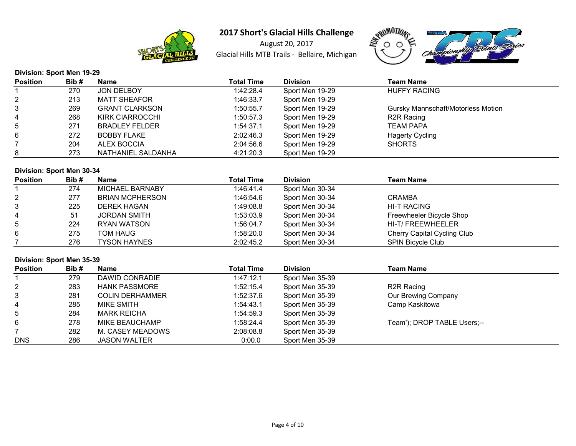

August 20, 2017 Glacial Hills MTB Trails - Bellaire, Michigan



### Division: Sport Men 19-29 Position Bib # Name Total Time Division Total Time Division 1 270 JON DELBOY 1:42:28.4 Sport Men 19-29 HUFFY RACING 2 213 MATT SHEAFOR 1:46:33.7 Sport Men 19-29<br>3 269 GRANT CLARKSON 1:50:55.7 Sport Men 19-29 269 GRANT CLARKSON 1:50:55.7 Sport Men 19-29 Gursky Mannschaft/Motorless Motion 4 268 KIRK CIARROCCHI 1:50:57.3 Sport Men 19-29 R2R Racing 5 271 BRADLEY FELDER 1:54:37.1 Sport Men 19-29 TEAM PAPA<br>6 272 BOBBY FLAKE 2:02:46.3 Sport Men 19-29 Hagerty Cycling 6 272 BOBBY FLAKE 2:02:46.3 Sport Men 19-29 Hagerty C<br>2:04 ALEX BOCCIA 2:04:56.6 Sport Men 19-29 SHORTS 7 204 ALEX BOCCIA 2:04:56.6 Sport Men 19-29 8 273 NATHANIEL SALDANHA 4:21:20.3 Sport Men 19-29

#### Division: Sport Men 30-34

| <b>Position</b> | Bib# | <b>Name</b>            | <b>Total Time</b> | <b>Division</b> | <b>Team Name</b>            |
|-----------------|------|------------------------|-------------------|-----------------|-----------------------------|
|                 | 274  | <b>MICHAEL BARNABY</b> | 1:46:41.4         | Sport Men 30-34 |                             |
| $\overline{2}$  | 277  | <b>BRIAN MCPHERSON</b> | 1:46:54.6         | Sport Men 30-34 | CRAMBA                      |
| 3               | 225  | <b>DEREK HAGAN</b>     | 1:49:08.8         | Sport Men 30-34 | HI-T RACING                 |
| 4               | 51   | <b>JORDAN SMITH</b>    | 1:53:03.9         | Sport Men 30-34 | Freewheeler Bicycle Shop    |
| 5               | 224  | RYAN WATSON            | 1:56:04.7         | Sport Men 30-34 | HI-T/FREEWHEELER            |
| 6               | 275  | TOM HAUG               | 1:58:20.0         | Sport Men 30-34 | Cherry Capital Cycling Club |
|                 | 276  | <b>TYSON HAYNES</b>    | 2:02:45.2         | Sport Men 30-34 | <b>SPIN Bicycle Club</b>    |

### Division: Sport Men 35-39

| <b>Position</b> | Bib# | <b>Name</b>            | <b>Total Time</b> | <b>Division</b> | <b>Team Name</b>            |
|-----------------|------|------------------------|-------------------|-----------------|-----------------------------|
|                 | 279  | DAWID CONRADIE         | 1:47:12.1         | Sport Men 35-39 |                             |
| $\overline{2}$  | 283  | <b>HANK PASSMORE</b>   | 1:52:15.4         | Sport Men 35-39 | R <sub>2</sub> R Racing     |
| 3               | 281  | <b>COLIN DERHAMMER</b> | 1:52:37.6         | Sport Men 35-39 | Our Brewing Company         |
| 4               | 285  | MIKE SMITH             | 1:54:43.1         | Sport Men 35-39 | Camp Kaskitowa              |
| 5               | 284  | MARK REICHA            | 1:54:59.3         | Sport Men 35-39 |                             |
| 6               | 278  | MIKE BEAUCHAMP         | 1:58:24.4         | Sport Men 35-39 | Team'); DROP TABLE Users;-- |
|                 | 282  | M. CASEY MEADOWS       | 2:08:08.8         | Sport Men 35-39 |                             |
| <b>DNS</b>      | 286  | <b>JASON WALTER</b>    | 0:00.0            | Sport Men 35-39 |                             |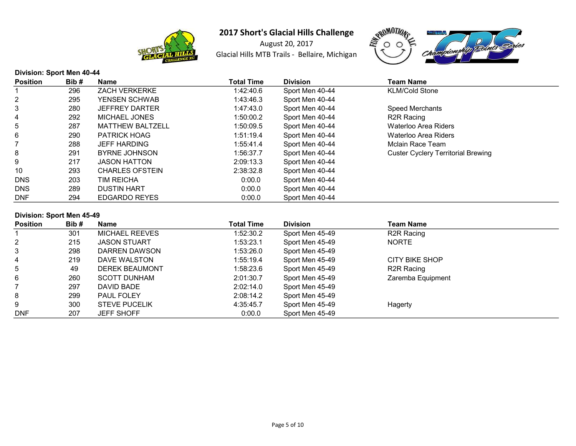

August 20, 2017 Glacial Hills MTB Trails - Bellaire, Michigan



### Division: Sport Men 40-44 Position Bib # Name Total Time Division Total Time Division 1 296 ZACH VERKERKE 1:42:40.6 Sport Men 40-44 KLM/Cold Stone 2 295 YENSEN SCHWAB 1:43:46.3 Sport Men 40-44<br>3 280 JEFFREY DARTER 1:47:43.0 Sport Men 40-44 280 JEFFREY DARTER 1:47:43.0 Sport Men 40-44 Speed Merchants 4 292 MICHAEL JONES 1:50:00.2 Sport Men 40-44 R2R Racing 5 287 MATTHEW BALTZELL 1:50:09.5 Sport Men 40-44 Waterloo Area Riders 6 290 PATRICK HOAG 1:51:19.4 Sport Men 40-44 Waterloo Area Riders 7 1:55:41.4 Sport Men 40-44 Mclain Race Team 8 291 BYRNE JOHNSON 1:56:37.7 Sport Men 40-44 Custer Cyclery Territorial Brewing 9 217 JASON HATTON 2:09:13.3 Sport Men 40-44 10 293 CHARLES OFSTEIN 2:38:32.8 Sport Men 40-44 DNS 203 TIM REICHA 0:00.0 Sport Men 40-44 DNS 289 DUSTIN HART 0:00.0 Sport Men 40-44 DNF 294 EDGARDO REYES 0:00.0 Sport Men 40-44

#### Division: Sport Men 45-49

| <b>Position</b> | Bib# | <b>Name</b>           | Total Time | <b>Division</b> | Team Name               |
|-----------------|------|-----------------------|------------|-----------------|-------------------------|
|                 | 301  | <b>MICHAEL REEVES</b> | 1:52:30.2  | Sport Men 45-49 | R <sub>2</sub> R Racing |
| 2               | 215  | <b>JASON STUART</b>   | 1:53:23.1  | Sport Men 45-49 | <b>NORTE</b>            |
| 3               | 298  | DARREN DAWSON         | 1:53:26.0  | Sport Men 45-49 |                         |
| 4               | 219  | DAVE WALSTON          | 1:55:19.4  | Sport Men 45-49 | CITY BIKE SHOP          |
| 5               | 49   | <b>DEREK BEAUMONT</b> | 1:58:23.6  | Sport Men 45-49 | R2R Racing              |
| 6               | 260  | <b>SCOTT DUNHAM</b>   | 2:01:30.7  | Sport Men 45-49 | Zaremba Equipment       |
|                 | 297  | DAVID BADE            | 2:02:14.0  | Sport Men 45-49 |                         |
| 8               | 299  | <b>PAUL FOLEY</b>     | 2:08:14.2  | Sport Men 45-49 |                         |
| 9               | 300  | <b>STEVE PUCELIK</b>  | 4:35:45.7  | Sport Men 45-49 | Hagerty                 |
| <b>DNF</b>      | 207  | <b>JEFF SHOFF</b>     | 0:00.0     | Sport Men 45-49 |                         |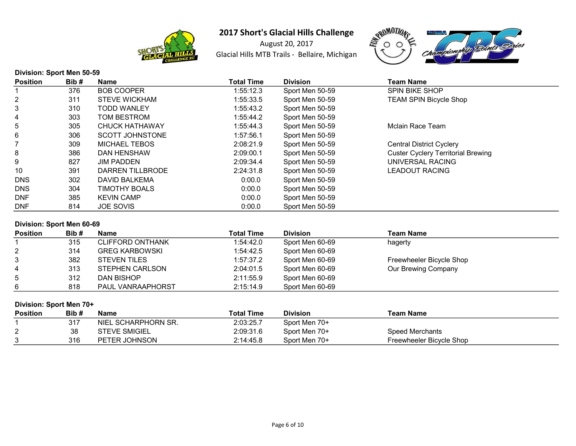

August 20, 2017 Glacial Hills MTB Trails - Bellaire, Michigan



# Division: Sport Men 50-59

| Position   | Bib# | <b>Name</b>            | <b>Total Time</b> | <b>Division</b> | Team Name                                 |  |
|------------|------|------------------------|-------------------|-----------------|-------------------------------------------|--|
|            | 376  | <b>BOB COOPER</b>      | 1:55:12.3         | Sport Men 50-59 | <b>SPIN BIKE SHOP</b>                     |  |
|            | 311  | <b>STEVE WICKHAM</b>   | 1:55:33.5         | Sport Men 50-59 | <b>TEAM SPIN Bicycle Shop</b>             |  |
|            | 310  | <b>TODD WANLEY</b>     | 1:55:43.2         | Sport Men 50-59 |                                           |  |
| 4          | 303  | TOM BESTROM            | 1:55:44.2         | Sport Men 50-59 |                                           |  |
| 5          | 305  | <b>CHUCK HATHAWAY</b>  | 1:55:44.3         | Sport Men 50-59 | Mclain Race Team                          |  |
|            | 306  | <b>SCOTT JOHNSTONE</b> | 1:57:56.1         | Sport Men 50-59 |                                           |  |
|            | 309  | <b>MICHAEL TEBOS</b>   | 2:08:21.9         | Sport Men 50-59 | <b>Central District Cyclery</b>           |  |
| 8          | 386  | DAN HENSHAW            | 2:09:00.1         | Sport Men 50-59 | <b>Custer Cyclery Territorial Brewing</b> |  |
|            | 827  | <b>JIM PADDEN</b>      | 2:09:34.4         | Sport Men 50-59 | UNIVERSAL RACING                          |  |
| 10         | 391  | DARREN TILLBRODE       | 2:24:31.8         | Sport Men 50-59 | LEADOUT RACING                            |  |
| DNS        | 302  | DAVID BALKEMA          | 0:00.0            | Sport Men 50-59 |                                           |  |
| <b>DNS</b> | 304  | TIMOTHY BOALS          | 0:00.0            | Sport Men 50-59 |                                           |  |
| DNF        | 385  | <b>KEVIN CAMP</b>      | 0:00.0            | Sport Men 50-59 |                                           |  |
| DNF        | 814  | <b>JOE SOVIS</b>       | 0:00.0            | Sport Men 50-59 |                                           |  |

### Division: Sport Men 60-69

| <b>Position</b> | Bib# | <b>Name</b>              | Total Time | <b>Division</b> | Team Name                |
|-----------------|------|--------------------------|------------|-----------------|--------------------------|
|                 | 315  | <b>CLIFFORD ONTHANK</b>  | 1:54:42.0  | Sport Men 60-69 | hagerty                  |
| 2               | 314  | <b>GREG KARBOWSKI</b>    | 1:54:42.5  | Sport Men 60-69 |                          |
| 3               | 382  | <b>STEVEN TILES</b>      | 1:57:37.2  | Sport Men 60-69 | Freewheeler Bicycle Shop |
| 4               | 313  | STEPHEN CARLSON          | 2:04:01.5  | Sport Men 60-69 | Our Brewing Company      |
| 5               | 312  | DAN BISHOP               | 2:11:55.9  | Sport Men 60-69 |                          |
| 6               | 818  | <b>PAUL VANRAAPHORST</b> | 2:15:14.9  | Sport Men 60-69 |                          |

### Division: Sport Men 70+

| <b>Position</b> | Bib# | Name                 | <b>Total Time</b> | <b>Division</b> | Team Name                |
|-----------------|------|----------------------|-------------------|-----------------|--------------------------|
|                 | 317  | NIEL SCHARPHORN SR.  | 2:03:25.7         | Sport Men 70+   |                          |
| ⌒               | 38   | <b>STEVE SMIGIEL</b> | 2:09:31.6         | Sport Men 70+   | Speed Merchants          |
| n<br>ັ          | 316  | PETER JOHNSON        | 2:14:45.8         | Sport Men 70+   | Freewheeler Bicycle Shop |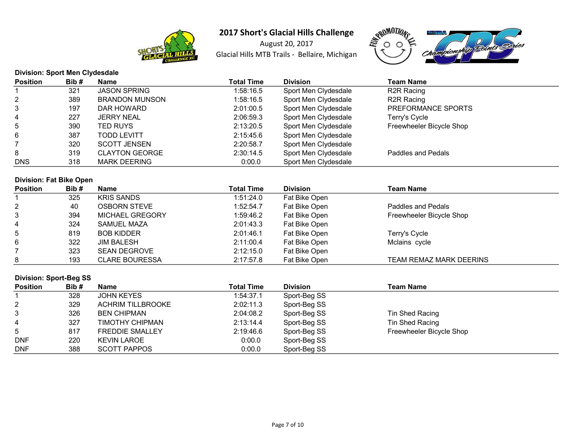

August 20, 2017 Glacial Hills MTB Trails - Bellaire, Michigan



|                 | <b>Division: Sport Men Clydesdale</b> |                       |            |                      |                          |  |  |  |
|-----------------|---------------------------------------|-----------------------|------------|----------------------|--------------------------|--|--|--|
| <b>Position</b> | Bib#                                  | <b>Name</b>           | Total Time | <b>Division</b>      | <b>Team Name</b>         |  |  |  |
|                 | 321                                   | <b>JASON SPRING</b>   | 1:58:16.5  | Sport Men Clydesdale | R2R Racing               |  |  |  |
| 2               | 389                                   | <b>BRANDON MUNSON</b> | 1:58:16.5  | Sport Men Clydesdale | R2R Racing               |  |  |  |
| 3               | 197                                   | DAR HOWARD            | 2:01:00.5  | Sport Men Clydesdale | PREFORMANCE SPORTS       |  |  |  |
| 4               | 227                                   | <b>JERRY NEAL</b>     | 2:06:59.3  | Sport Men Clydesdale | Terry's Cycle            |  |  |  |
| 5               | 390                                   | TED RUYS              | 2:13:20.5  | Sport Men Clydesdale | Freewheeler Bicycle Shop |  |  |  |
| 6               | 387                                   | <b>TODD LEVITT</b>    | 2:15:45.6  | Sport Men Clydesdale |                          |  |  |  |
|                 | 320                                   | <b>SCOTT JENSEN</b>   | 2:20:58.7  | Sport Men Clydesdale |                          |  |  |  |
| 8               | 319                                   | <b>CLAYTON GEORGE</b> | 2:30:14.5  | Sport Men Clydesdale | Paddles and Pedals       |  |  |  |
| <b>DNS</b>      | 318                                   | <b>MARK DEERING</b>   | 0:00.0     | Sport Men Clydesdale |                          |  |  |  |

|                 | <b>Division: Fat Bike Open</b> |                        |                   |                 |                          |  |  |  |  |
|-----------------|--------------------------------|------------------------|-------------------|-----------------|--------------------------|--|--|--|--|
| <b>Position</b> | Bib#                           | Name                   | <b>Total Time</b> | <b>Division</b> | <b>Team Name</b>         |  |  |  |  |
|                 | 325                            | <b>KRIS SANDS</b>      | 1:51:24.0         | Fat Bike Open   |                          |  |  |  |  |
| $\overline{2}$  | 40                             | <b>OSBORN STEVE</b>    | 1:52:54.7         | Fat Bike Open   | Paddles and Pedals       |  |  |  |  |
| 3               | 394                            | <b>MICHAEL GREGORY</b> | 1:59:46.2         | Fat Bike Open   | Freewheeler Bicycle Shop |  |  |  |  |
| 4               | 324                            | SAMUEL MAZA            | 2:01:43.3         | Fat Bike Open   |                          |  |  |  |  |
| 5               | 819                            | <b>BOB KIDDER</b>      | 2:01:46.1         | Fat Bike Open   | Terry's Cycle            |  |  |  |  |
| 6               | 322                            | <b>JIM BALESH</b>      | 2:11:00.4         | Fat Bike Open   | Mclains cycle            |  |  |  |  |
|                 | 323                            | <b>SEAN DEGROVE</b>    | 2:12:15.0         | Fat Bike Open   |                          |  |  |  |  |
| 8               | 193                            | <b>CLARE BOURESSA</b>  | 2:17:57.8         | Fat Bike Open   | TEAM REMAZ MARK DEERINS  |  |  |  |  |

# Division: Sport-Beg SS

| <b>Position</b> | Bib# | <b>Name</b>              | <b>Total Time</b> | <b>Division</b> | Team Name                |  |
|-----------------|------|--------------------------|-------------------|-----------------|--------------------------|--|
|                 | 328  | JOHN KEYES               | 1:54:37.1         | Sport-Beg SS    |                          |  |
| 2               | 329  | <b>ACHRIM TILLBROOKE</b> | 2:02:11.3         | Sport-Beg SS    |                          |  |
| 3               | 326  | <b>BEN CHIPMAN</b>       | 2:04:08.2         | Sport-Beg SS    | Tin Shed Racing          |  |
| 4               | 327  | TIMOTHY CHIPMAN          | 2:13:14.4         | Sport-Beg SS    | Tin Shed Racing          |  |
| 5               | 817  | <b>FREDDIE SMALLEY</b>   | 2:19:46.6         | Sport-Beg SS    | Freewheeler Bicycle Shop |  |
| <b>DNF</b>      | 220  | KEVIN LAROE              | 0:00.0            | Sport-Beg SS    |                          |  |
| <b>DNF</b>      | 388  | <b>SCOTT PAPPOS</b>      | 0:00.0            | Sport-Beg SS    |                          |  |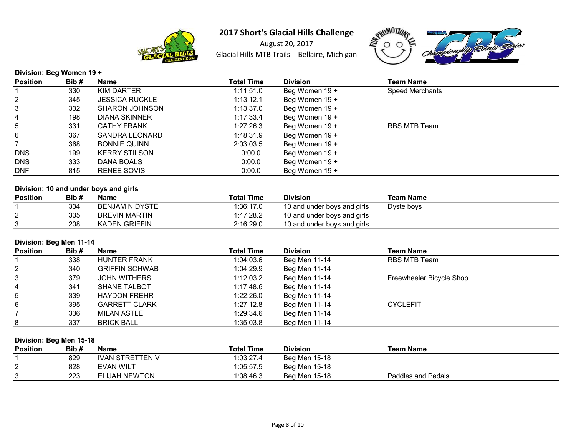

August 20, 2017 Glacial Hills MTB Trails - Bellaire, Michigan



Division: Beg Women 19 +

| <b>Position</b> | Bib# | <b>Name</b>           | <b>Total Time</b> | <b>Division</b> | Team Name       |  |
|-----------------|------|-----------------------|-------------------|-----------------|-----------------|--|
|                 | 330  | KIM DARTER            | 1:11:51.0         | Beg Women 19 +  | Speed Merchants |  |
| $\overline{2}$  | 345  | <b>JESSICA RUCKLE</b> | 1:13:12.1         | Beg Women 19 +  |                 |  |
| 3               | 332  | <b>SHARON JOHNSON</b> | 1:13:37.0         | Beg Women 19 +  |                 |  |
| 4               | 198  | <b>DIANA SKINNER</b>  | 1:17:33.4         | Beg Women 19 +  |                 |  |
| 5               | 331  | <b>CATHY FRANK</b>    | 1:27:26.3         | Beg Women 19 +  | RBS MTB Team    |  |
| 6               | 367  | SANDRA LEONARD        | 1:48:31.9         | Beg Women 19 +  |                 |  |
|                 | 368  | <b>BONNIE QUINN</b>   | 2:03:03.5         | Beg Women 19 +  |                 |  |
| <b>DNS</b>      | 199  | <b>KERRY STILSON</b>  | 0:00.0            | Beg Women 19 +  |                 |  |
| <b>DNS</b>      | 333  | DANA BOALS            | 0:00.0            | Beg Women 19 +  |                 |  |
| <b>DNF</b>      | 815  | <b>RENEE SOVIS</b>    | 0:00.0            | Beg Women 19 +  |                 |  |

# Division: 10 and under boys and girls

| <b>Position</b> | Bib# | <b>Name</b>    | <b>Total Time</b> | <b>Division</b>             | Team Name  |
|-----------------|------|----------------|-------------------|-----------------------------|------------|
|                 | 334  | BENJAMIN DYSTE | 1:36:17.0         | 10 and under boys and girls | Dyste boys |
| <u>_</u>        | 335  | BREVIN MARTIN  | 1:47:28.2         | 10 and under boys and girls |            |
|                 | 208  | KADEN GRIFFIN  | 2:16:29.0         | 10 and under boys and girls |            |

## Division: Beg Men 11-14

| <b>Position</b> | Bib# | Name                  | <b>Total Time</b> | <b>Division</b> | Team Name                |
|-----------------|------|-----------------------|-------------------|-----------------|--------------------------|
|                 | 338  | <b>HUNTER FRANK</b>   | 1:04:03.6         | Beg Men 11-14   | RBS MTB Team             |
| $\overline{2}$  | 340  | <b>GRIFFIN SCHWAB</b> | 1:04:29.9         | Beg Men 11-14   |                          |
| 3               | 379  | JOHN WITHERS          | 1:12:03.2         | Beg Men 11-14   | Freewheeler Bicycle Shop |
| 4               | 341  | <b>SHANE TALBOT</b>   | 1:17:48.6         | Beg Men 11-14   |                          |
| $5\overline{)}$ | 339  | <b>HAYDON FREHR</b>   | 1:22:26.0         | Beg Men 11-14   |                          |
| 6               | 395  | <b>GARRETT CLARK</b>  | 1:27:12.8         | Beg Men 11-14   | <b>CYCLEFIT</b>          |
|                 | 336  | MILAN ASTLE           | 1:29:34.6         | Beg Men 11-14   |                          |
| 8               | 337  | <b>BRICK BALL</b>     | 1:35:03.8         | Beg Men 11-14   |                          |

#### Division: Beg Men 15-18

| <b>Position</b> | Bib# | <b>Name</b>            | <b>Total Time</b> | <b>Division</b> | Team Name          |
|-----------------|------|------------------------|-------------------|-----------------|--------------------|
|                 | 829  | <b>IVAN STRETTEN V</b> | 1:03:27.4         | Beg Men 15-18   |                    |
| ⌒               | 828  | <b>EVAN WILT</b>       | 1:05:57.5         | Beg Men 15-18   |                    |
| ົ               | 223  | <b>ELIJAH NEWTON</b>   | :08:46.3          | Beg Men 15-18   | Paddles and Pedals |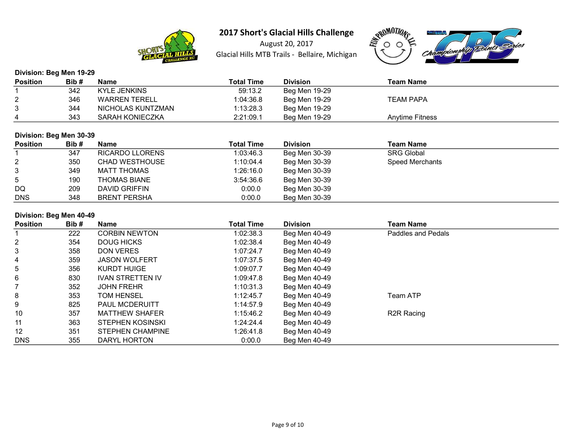

August 20, 2017 Glacial Hills MTB Trails - Bellaire, Michigan



## Division: Beg Men 19-29

| <b>Position</b> | Bib# | <b>Name</b>          | <b>Total Time</b> | <b>Division</b> | Team Name              |
|-----------------|------|----------------------|-------------------|-----------------|------------------------|
|                 | 342  | <b>KYLE JENKINS</b>  | 59:13.2           | Beg Men 19-29   |                        |
| ົ               | 346  | <b>WARREN TERELL</b> | 1:04:36.8         | Beg Men 19-29   | <b>TEAM PAPA</b>       |
| 3               | 344  | NICHOLAS KUNTZMAN    | 1:13:28.3         | Beg Men 19-29   |                        |
|                 | 343  | SARAH KONIECZKA      | 2:21:09.1         | Beg Men 19-29   | <b>Anytime Fitness</b> |

### Division: Beg Men 30-39

| <b>Position</b> | Bib# | <b>Name</b>           | <b>Total Time</b> | <b>Division</b> | <b>Team Name</b>  |
|-----------------|------|-----------------------|-------------------|-----------------|-------------------|
|                 | 347  | RICARDO LLORENS       | 1:03:46.3         | Beg Men 30-39   | <b>SRG Global</b> |
| $\overline{2}$  | 350  | <b>CHAD WESTHOUSE</b> | 1:10:04.4         | Beg Men 30-39   | Speed Merchants   |
| 3               | 349  | <b>MATT THOMAS</b>    | 1:26:16.0         | Beg Men 30-39   |                   |
| $5^{\circ}$     | 190  | <b>THOMAS BIANE</b>   | 3:54:36.6         | Beg Men 30-39   |                   |
| DQ              | 209  | DAVID GRIFFIN         | 0:00.0            | Beg Men 30-39   |                   |
| <b>DNS</b>      | 348  | <b>BRENT PERSHA</b>   | 0:00.0            | Beg Men 30-39   |                   |

### Division: Beg Men 40-49

| <b>Position</b> | Bib# | <b>Name</b>             | <b>Total Time</b> | <b>Division</b> | <b>Team Name</b>        |  |
|-----------------|------|-------------------------|-------------------|-----------------|-------------------------|--|
|                 | 222  | <b>CORBIN NEWTON</b>    | 1:02:38.3         | Beg Men 40-49   | Paddles and Pedals      |  |
| 2               | 354  | DOUG HICKS              | 1:02:38.4         | Beg Men 40-49   |                         |  |
| 3               | 358  | <b>DON VERES</b>        | 1:07:24.7         | Beg Men 40-49   |                         |  |
| 4               | 359  | <b>JASON WOLFERT</b>    | 1:07:37.5         | Beg Men 40-49   |                         |  |
| 5               | 356  | KURDT HUIGE             | 1:09:07.7         | Beg Men 40-49   |                         |  |
| 6               | 830  | <b>IVAN STRETTEN IV</b> | 1:09:47.8         | Beg Men 40-49   |                         |  |
|                 | 352  | <b>JOHN FREHR</b>       | 1:10:31.3         | Beg Men 40-49   |                         |  |
| 8               | 353  | <b>TOM HENSEL</b>       | 1:12:45.7         | Beg Men 40-49   | Team ATP                |  |
| 9               | 825  | <b>PAUL MCDERUITT</b>   | 1:14:57.9         | Beg Men 40-49   |                         |  |
| 10              | 357  | <b>MATTHEW SHAFER</b>   | 1:15:46.2         | Beg Men 40-49   | R <sub>2</sub> R Racing |  |
| 11              | 363  | STEPHEN KOSINSKI        | 1:24:24.4         | Beg Men 40-49   |                         |  |
| $12 \,$         | 351  | STEPHEN CHAMPINE        | 1:26:41.8         | Beg Men 40-49   |                         |  |
| <b>DNS</b>      | 355  | DARYL HORTON            | 0:00.0            | Beg Men 40-49   |                         |  |